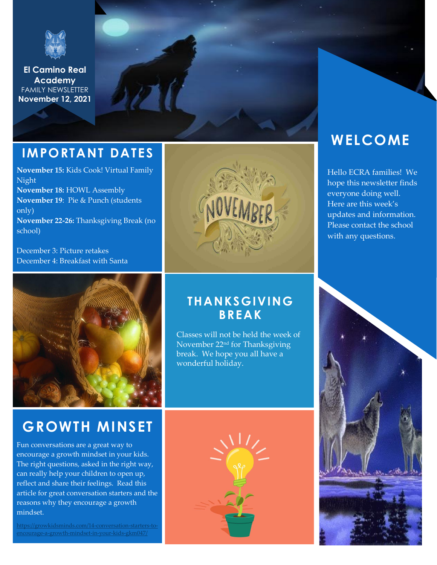

**El Camino Real Academy** FAMILY NEWSLETTER **November 12, 2021**

### **IMPORTANT DATES**

**November 15:** Kids Cook! Virtual Family Night **November 18:** HOWL Assembly **November 19**: Pie & Punch (students only) **November 22-26:** Thanksgiving Break (no school)

December 3: Picture retakes December 4: Breakfast with Santa



### **GROWTH MINSET**

Fun conversations are a great way to encourage a growth mindset in your kids. The right questions, asked in the right way, can really help your children to open up, reflect and share their feelings. Read this article for great conversation starters and the reasons why they encourage a growth mindset.

[https://growkidsminds.com/14-conversation-starters-to](https://growkidsminds.com/14-conversation-starters-to-encourage-a-growth-mindset-in-your-kids-gkm047/)[encourage-a-growth-mindset-in-your-kids-gkm047/](https://growkidsminds.com/14-conversation-starters-to-encourage-a-growth-mindset-in-your-kids-gkm047/)

### **THANKSGIVING BREAK**

Classes will not be held the week of November 22nd for Thanksgiving break. We hope you all have a wonderful holiday.



### **WELCOME**

Hello ECRA families! We hope this newsletter finds everyone doing well. Here are this week's updates and information. Please contact the school with any questions.

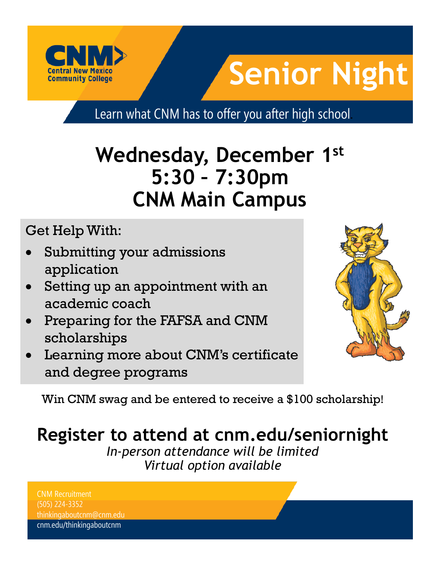

# **Senior Night**

Learn what CNM has to offer you after high school.

## **Wednesday, December 1st 5:30 – 7:30pm CNM Main Campus**

Get Help With:

- Submitting your admissions application
- Setting up an appointment with an academic coach
- Preparing for the FAFSA and CNM scholarships
- Learning more about CNM's certificate and degree programs



Win CNM swag and be entered to receive a \$100 scholarship!

### **Register to attend at [cnm.edu/seniornight](https://www.cnm.edu/depts/outreach/recruitment-events)**

*In-person attendance will be limited Virtual option available*

CNM Recruitment (505) 224-3352 thinkingaboutcnm@cnm.edu cnm.edu/thinkingaboutcnm